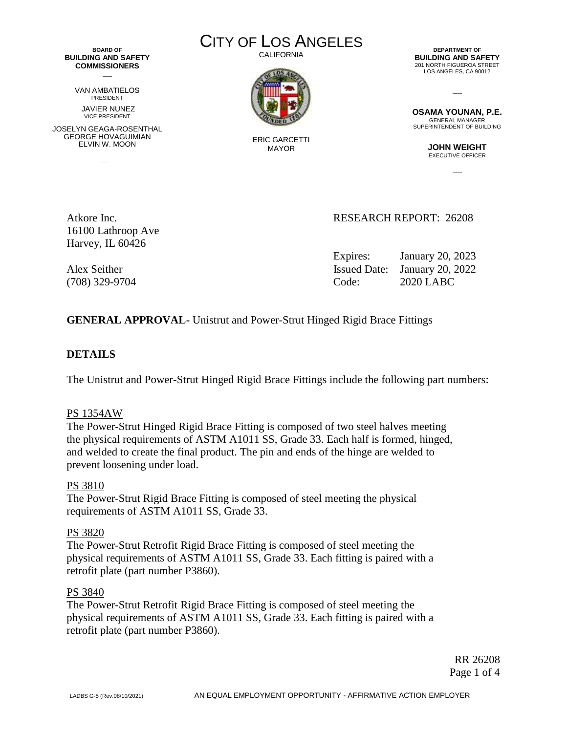**BOARD OF BUILDING AND SAFETY COMMISSIONERS**  $\overline{\phantom{a}}$ 

> VAN AMBATIELOS PRESIDENT JAVIER NUNEZ

VICE PRESIDENT JOSELYN GEAGA-ROSENTHAL GEORGE HOVAGUIMIAN ELVIN W. MOON

 $\sim$ 

CITY OF LOS ANGELES

CALIFORNIA



ERIC GARCETTI MAYOR

**DEPARTMENT OF BUILDING AND SAFETY** 201 NORTH FIGUEROA STREET LOS ANGELES, CA 90012

**OSAMA YOUNAN, P.E.** GENERAL MANAGER SUPERINTENDENT OF BUILDING

 $\overline{a}$ 

**JOHN WEIGHT** EXECUTIVE OFFICER

 $\overline{a}$ 

16100 Lathroop Ave Harvey, IL 60426

### Atkore Inc. 26208

Expires: January 20, 2023 Alex Seither Issued Date: January 20, 2022 (708) 329-9704 Code: 2020 LABC

### **GENERAL APPROVAL-** Unistrut and Power-Strut Hinged Rigid Brace Fittings

#### **DETAILS**

The Unistrut and Power-Strut Hinged Rigid Brace Fittings include the following part numbers:

#### PS 1354AW

The Power-Strut Hinged Rigid Brace Fitting is composed of two steel halves meeting the physical requirements of ASTM A1011 SS, Grade 33. Each half is formed, hinged, and welded to create the final product. The pin and ends of the hinge are welded to prevent loosening under load.

#### PS 3810

The Power-Strut Rigid Brace Fitting is composed of steel meeting the physical requirements of ASTM A1011 SS, Grade 33.

#### PS 3820

The Power-Strut Retrofit Rigid Brace Fitting is composed of steel meeting the physical requirements of ASTM A1011 SS, Grade 33. Each fitting is paired with a retrofit plate (part number P3860).

#### PS 3840

The Power-Strut Retrofit Rigid Brace Fitting is composed of steel meeting the physical requirements of ASTM A1011 SS, Grade 33. Each fitting is paired with a retrofit plate (part number P3860).

> RR 26208 Page 1 of 4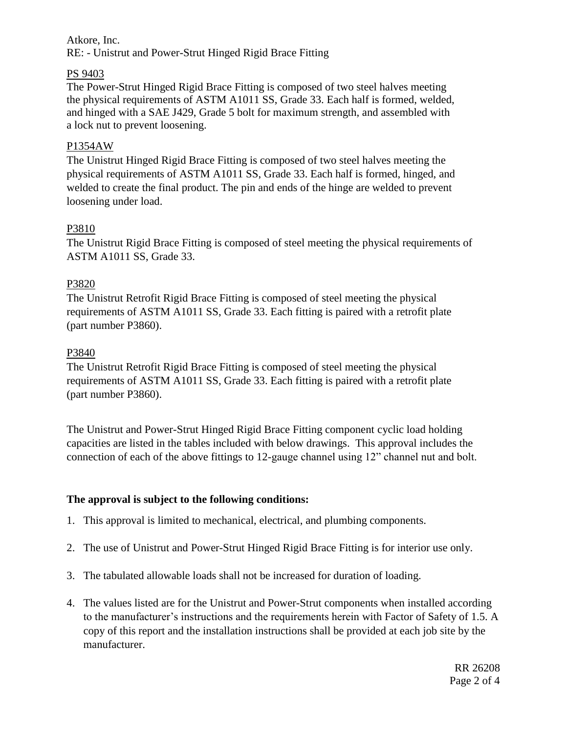### Atkore, Inc. RE: - Unistrut and Power-Strut Hinged Rigid Brace Fitting

## PS 9403

The Power-Strut Hinged Rigid Brace Fitting is composed of two steel halves meeting the physical requirements of ASTM A1011 SS, Grade 33. Each half is formed, welded, and hinged with a SAE J429, Grade 5 bolt for maximum strength, and assembled with a lock nut to prevent loosening.

## P1354AW

The Unistrut Hinged Rigid Brace Fitting is composed of two steel halves meeting the physical requirements of ASTM A1011 SS, Grade 33. Each half is formed, hinged, and welded to create the final product. The pin and ends of the hinge are welded to prevent loosening under load.

# P3810

The Unistrut Rigid Brace Fitting is composed of steel meeting the physical requirements of ASTM A1011 SS, Grade 33.

# P3820

The Unistrut Retrofit Rigid Brace Fitting is composed of steel meeting the physical requirements of ASTM A1011 SS, Grade 33. Each fitting is paired with a retrofit plate (part number P3860).

### P3840

The Unistrut Retrofit Rigid Brace Fitting is composed of steel meeting the physical requirements of ASTM A1011 SS, Grade 33. Each fitting is paired with a retrofit plate (part number P3860).

The Unistrut and Power-Strut Hinged Rigid Brace Fitting component cyclic load holding capacities are listed in the tables included with below drawings. This approval includes the connection of each of the above fittings to 12-gauge channel using 12" channel nut and bolt.

### **The approval is subject to the following conditions:**

- 1. This approval is limited to mechanical, electrical, and plumbing components.
- 2. The use of Unistrut and Power-Strut Hinged Rigid Brace Fitting is for interior use only.
- 3. The tabulated allowable loads shall not be increased for duration of loading.
- 4. The values listed are for the Unistrut and Power-Strut components when installed according to the manufacturer's instructions and the requirements herein with Factor of Safety of 1.5. A copy of this report and the installation instructions shall be provided at each job site by the manufacturer.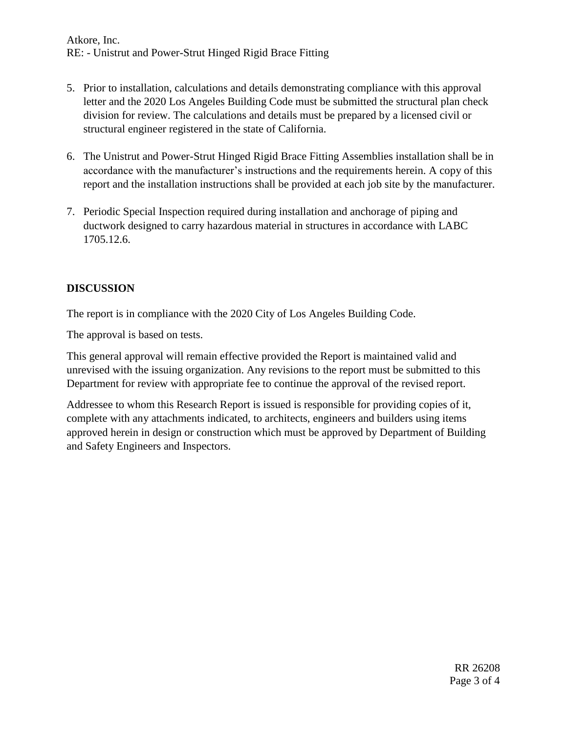- 5. Prior to installation, calculations and details demonstrating compliance with this approval letter and the 2020 Los Angeles Building Code must be submitted the structural plan check division for review. The calculations and details must be prepared by a licensed civil or structural engineer registered in the state of California.
- 6. The Unistrut and Power-Strut Hinged Rigid Brace Fitting Assemblies installation shall be in accordance with the manufacturer's instructions and the requirements herein. A copy of this report and the installation instructions shall be provided at each job site by the manufacturer.
- 7. Periodic Special Inspection required during installation and anchorage of piping and ductwork designed to carry hazardous material in structures in accordance with LABC 1705.12.6.

# **DISCUSSION**

The report is in compliance with the 2020 City of Los Angeles Building Code.

The approval is based on tests.

This general approval will remain effective provided the Report is maintained valid and unrevised with the issuing organization. Any revisions to the report must be submitted to this Department for review with appropriate fee to continue the approval of the revised report.

Addressee to whom this Research Report is issued is responsible for providing copies of it, complete with any attachments indicated, to architects, engineers and builders using items approved herein in design or construction which must be approved by Department of Building and Safety Engineers and Inspectors.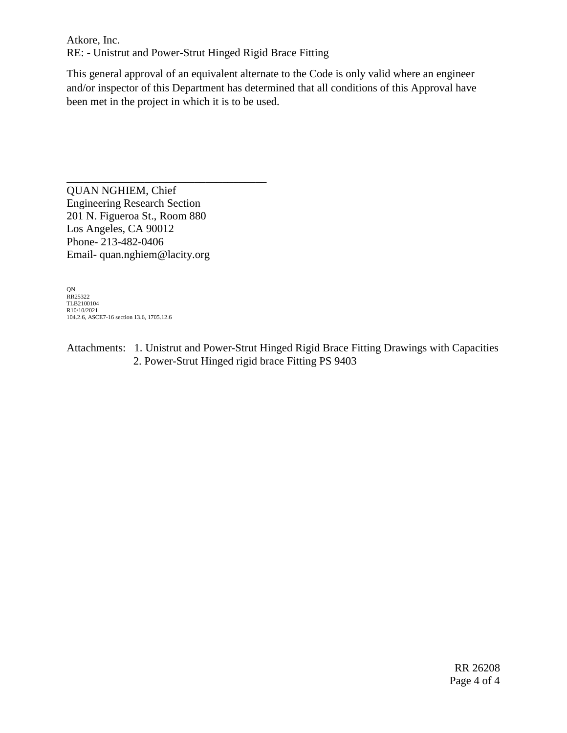Atkore, Inc. RE: - Unistrut and Power-Strut Hinged Rigid Brace Fitting

This general approval of an equivalent alternate to the Code is only valid where an engineer and/or inspector of this Department has determined that all conditions of this Approval have been met in the project in which it is to be used.

\_\_\_\_\_\_\_\_\_\_\_\_\_\_\_\_\_\_\_\_\_\_\_\_\_\_\_\_\_\_\_\_\_\_\_\_ QUAN NGHIEM, Chief Engineering Research Section 201 N. Figueroa St., Room 880 Los Angeles, CA 90012 Phone- 213-482-0406 Email- quan.nghiem@lacity.org

QN RR25322 TLB2100104 R10/10/2021 104.2.6, ASCE7-16 section 13.6, 1705.12.6

Attachments: 1. Unistrut and Power-Strut Hinged Rigid Brace Fitting Drawings with Capacities 2. Power-Strut Hinged rigid brace Fitting PS 9403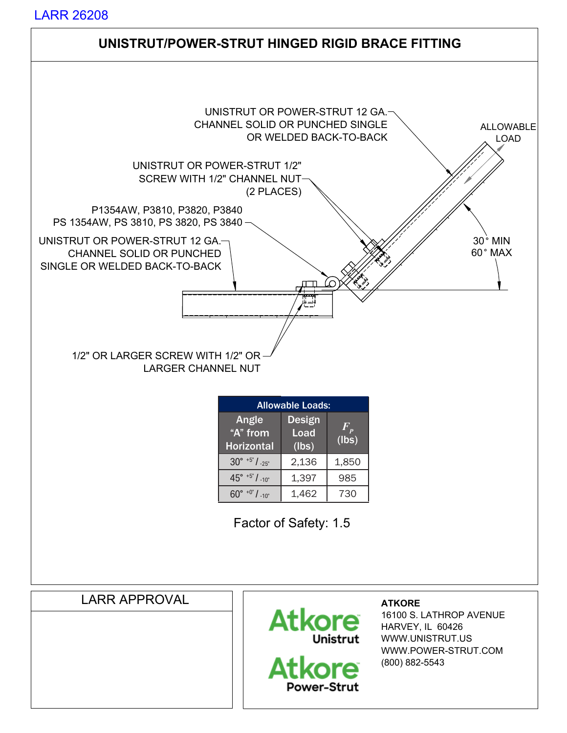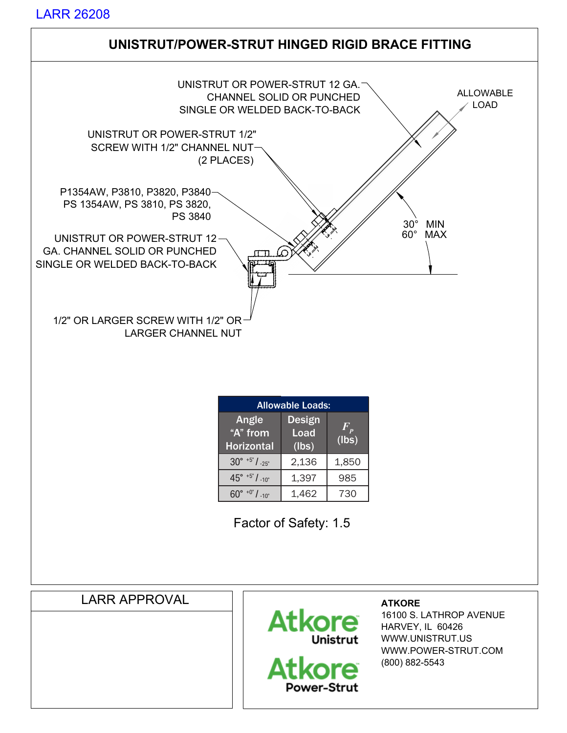

(800) 882-5543

Atkore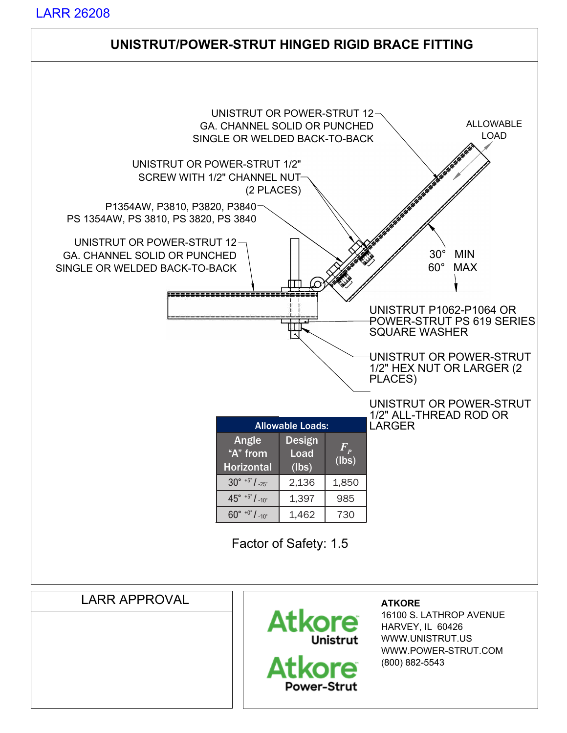